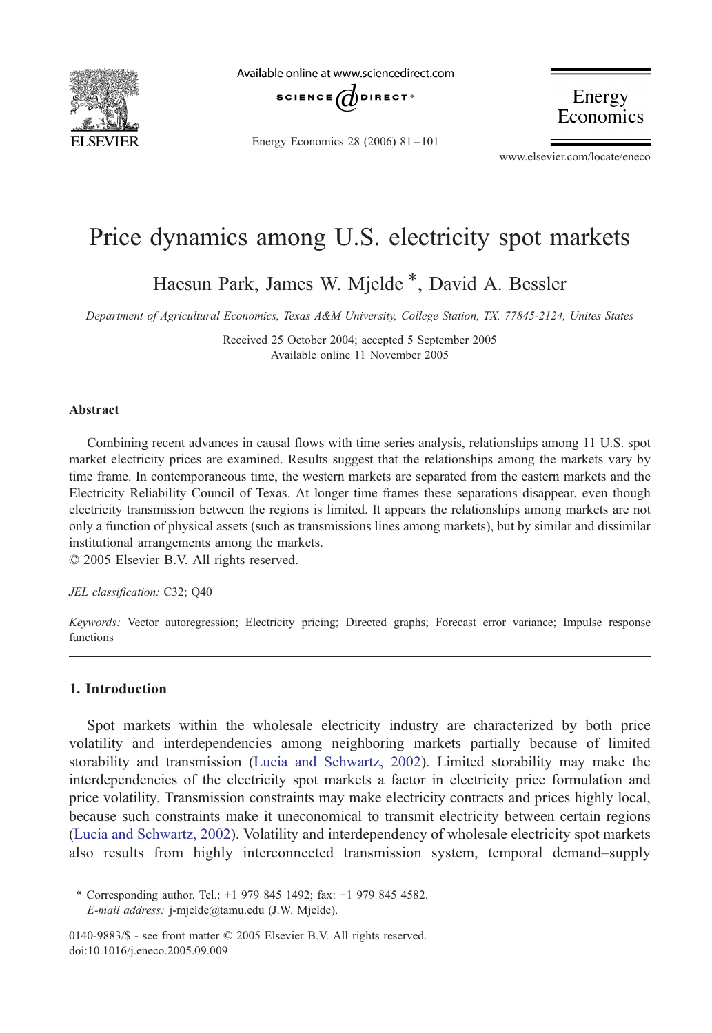

Available online at www.sciencedirect.com



Energy Economics 28 (2006) 81 – 101

Energy Economics

www.elsevier.com/locate/eneco

## Price dynamics among U.S. electricity spot markets

Haesun Park, James W. Mjelde \*, David A. Bessler

Department of Agricultural Economics, Texas A&M University, College Station, TX. 77845-2124, Unites States

Received 25 October 2004; accepted 5 September 2005 Available online 11 November 2005

#### Abstract

Combining recent advances in causal flows with time series analysis, relationships among 11 U.S. spot market electricity prices are examined. Results suggest that the relationships among the markets vary by time frame. In contemporaneous time, the western markets are separated from the eastern markets and the Electricity Reliability Council of Texas. At longer time frames these separations disappear, even though electricity transmission between the regions is limited. It appears the relationships among markets are not only a function of physical assets (such as transmissions lines among markets), but by similar and dissimilar institutional arrangements among the markets.

 $© 2005 Elsevier B.V. All rights reserved.$ 

#### JEL classification: C32; Q40

Keywords: Vector autoregression; Electricity pricing; Directed graphs; Forecast error variance; Impulse response functions

#### 1. Introduction

Spot markets within the wholesale electricity industry are characterized by both price volatility and interdependencies among neighboring markets partially because of limited storability and transmission ([Lucia and Schwartz, 2002\)](#page--1-0). Limited storability may make the interdependencies of the electricity spot markets a factor in electricity price formulation and price volatility. Transmission constraints may make electricity contracts and prices highly local, because such constraints make it uneconomical to transmit electricity between certain regions ([Lucia and Schwartz, 2002\)](#page--1-0). Volatility and interdependency of wholesale electricity spot markets also results from highly interconnected transmission system, temporal demand–supply

\* Corresponding author. Tel.: +1 979 845 1492; fax: +1 979 845 4582. E-mail address: j-mjelde@tamu.edu (J.W. Mjelde).

0140-9883/\$ - see front matter  $\odot$  2005 Elsevier B.V. All rights reserved. doi:10.1016/j.eneco.2005.09.009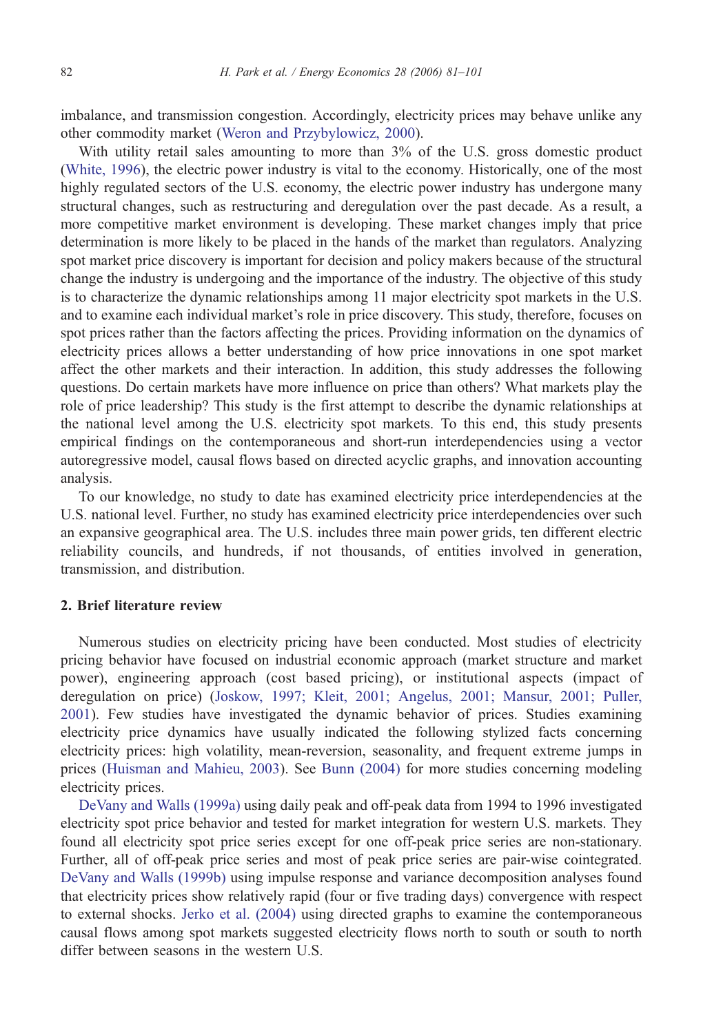imbalance, and transmission congestion. Accordingly, electricity prices may behave unlike any other commodity market ([Weron and Przybylowicz, 2000](#page--1-0)).

With utility retail sales amounting to more than 3% of the U.S. gross domestic product [\(White, 1996\)](#page--1-0), the electric power industry is vital to the economy. Historically, one of the most highly regulated sectors of the U.S. economy, the electric power industry has undergone many structural changes, such as restructuring and deregulation over the past decade. As a result, a more competitive market environment is developing. These market changes imply that price determination is more likely to be placed in the hands of the market than regulators. Analyzing spot market price discovery is important for decision and policy makers because of the structural change the industry is undergoing and the importance of the industry. The objective of this study is to characterize the dynamic relationships among 11 major electricity spot markets in the U.S. and to examine each individual market's role in price discovery. This study, therefore, focuses on spot prices rather than the factors affecting the prices. Providing information on the dynamics of electricity prices allows a better understanding of how price innovations in one spot market affect the other markets and their interaction. In addition, this study addresses the following questions. Do certain markets have more influence on price than others? What markets play the role of price leadership? This study is the first attempt to describe the dynamic relationships at the national level among the U.S. electricity spot markets. To this end, this study presents empirical findings on the contemporaneous and short-run interdependencies using a vector autoregressive model, causal flows based on directed acyclic graphs, and innovation accounting analysis.

To our knowledge, no study to date has examined electricity price interdependencies at the U.S. national level. Further, no study has examined electricity price interdependencies over such an expansive geographical area. The U.S. includes three main power grids, ten different electric reliability councils, and hundreds, if not thousands, of entities involved in generation, transmission, and distribution.

### 2. Brief literature review

Numerous studies on electricity pricing have been conducted. Most studies of electricity pricing behavior have focused on industrial economic approach (market structure and market power), engineering approach (cost based pricing), or institutional aspects (impact of deregulation on price) [\(Joskow, 1997; Kleit, 2001; Angelus, 2001; Mansur, 2001; Puller,](#page--1-0) 2001). Few studies have investigated the dynamic behavior of prices. Studies examining electricity price dynamics have usually indicated the following stylized facts concerning electricity prices: high volatility, mean-reversion, seasonality, and frequent extreme jumps in prices ([Huisman and Mahieu, 2003\)](#page--1-0). See [Bunn \(2004\)](#page--1-0) for more studies concerning modeling electricity prices.

[DeVany and Walls \(1999a\)](#page--1-0) using daily peak and off-peak data from 1994 to 1996 investigated electricity spot price behavior and tested for market integration for western U.S. markets. They found all electricity spot price series except for one off-peak price series are non-stationary. Further, all of off-peak price series and most of peak price series are pair-wise cointegrated. [DeVany and Walls \(1999b\)](#page--1-0) using impulse response and variance decomposition analyses found that electricity prices show relatively rapid (four or five trading days) convergence with respect to external shocks. [Jerko et al. \(2004\)](#page--1-0) using directed graphs to examine the contemporaneous causal flows among spot markets suggested electricity flows north to south or south to north differ between seasons in the western U.S.